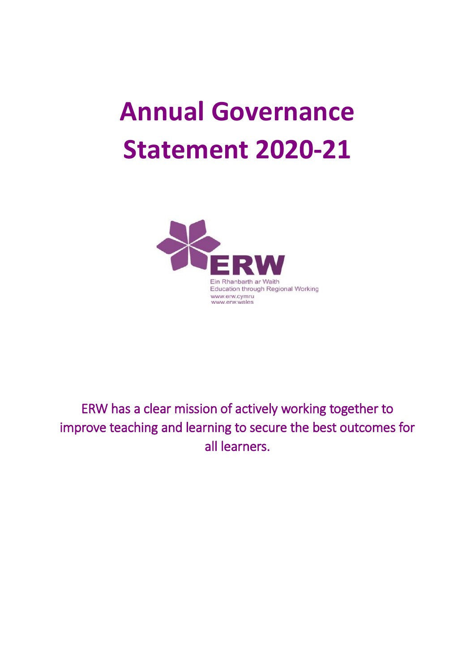# **Annual Governance Statement 2020-21**



ERW has a clear mission of actively working together to improve teaching and learning to secure the best outcomes for all learners.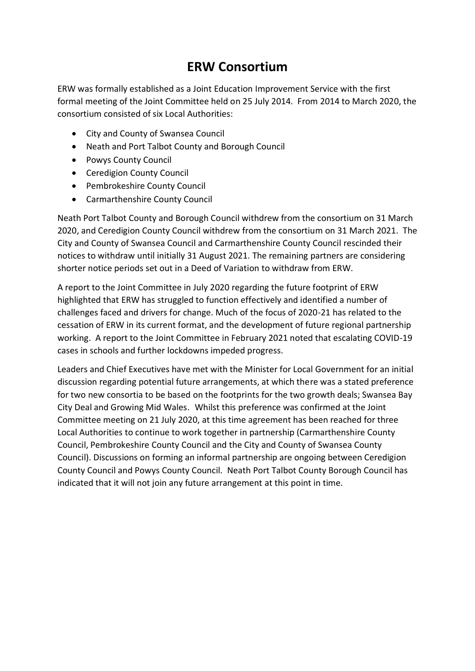# **ERW Consortium**

ERW was formally established as a Joint Education Improvement Service with the first formal meeting of the Joint Committee held on 25 July 2014. From 2014 to March 2020, the consortium consisted of six Local Authorities:

- City and County of Swansea Council
- Neath and Port Talbot County and Borough Council
- Powys County Council
- Ceredigion County Council
- Pembrokeshire County Council
- Carmarthenshire County Council

Neath Port Talbot County and Borough Council withdrew from the consortium on 31 March 2020, and Ceredigion County Council withdrew from the consortium on 31 March 2021. The City and County of Swansea Council and Carmarthenshire County Council rescinded their notices to withdraw until initially 31 August 2021. The remaining partners are considering shorter notice periods set out in a Deed of Variation to withdraw from ERW.

A report to the Joint Committee in July 2020 regarding the future footprint of ERW highlighted that ERW has struggled to function effectively and identified a number of challenges faced and drivers for change. Much of the focus of 2020-21 has related to the cessation of ERW in its current format, and the development of future regional partnership working. A report to the Joint Committee in February 2021 noted that escalating COVID-19 cases in schools and further lockdowns impeded progress.

Leaders and Chief Executives have met with the Minister for Local Government for an initial discussion regarding potential future arrangements, at which there was a stated preference for two new consortia to be based on the footprints for the two growth deals; Swansea Bay City Deal and Growing Mid Wales. Whilst this preference was confirmed at the Joint Committee meeting on 21 July 2020, at this time agreement has been reached for three Local Authorities to continue to work together in partnership (Carmarthenshire County Council, Pembrokeshire County Council and the City and County of Swansea County Council). Discussions on forming an informal partnership are ongoing between Ceredigion County Council and Powys County Council. Neath Port Talbot County Borough Council has indicated that it will not join any future arrangement at this point in time.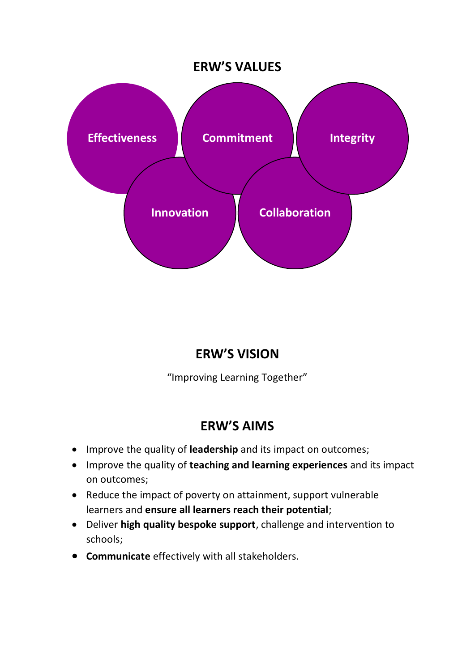# **ERW'S VALUES**



# **ERW'S VISION**

"Improving Learning Together"

# **ERW'S AIMS**

- Improve the quality of **leadership** and its impact on outcomes;
- Improve the quality of **teaching and learning experiences** and its impact on outcomes;
- Reduce the impact of poverty on attainment, support vulnerable learners and **ensure all learners reach their potential**;
- Deliver **high quality bespoke support**, challenge and intervention to schools;
- **Communicate** effectively with all stakeholders.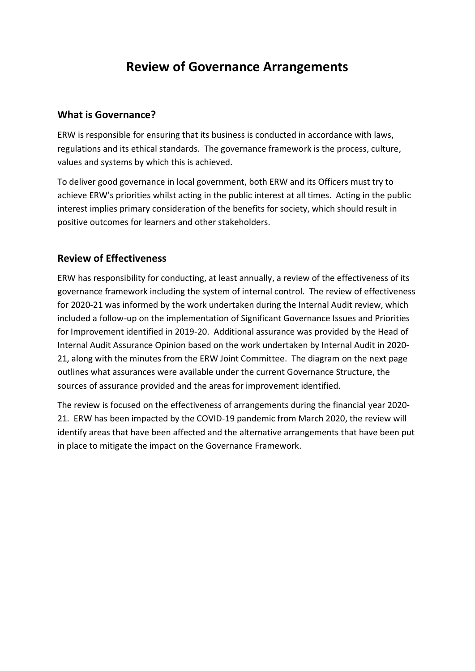# **Review of Governance Arrangements**

## **What is Governance?**

ERW is responsible for ensuring that its business is conducted in accordance with laws, regulations and its ethical standards. The governance framework is the process, culture, values and systems by which this is achieved.

To deliver good governance in local government, both ERW and its Officers must try to achieve ERW's priorities whilst acting in the public interest at all times. Acting in the public interest implies primary consideration of the benefits for society, which should result in positive outcomes for learners and other stakeholders.

## **Review of Effectiveness**

ERW has responsibility for conducting, at least annually, a review of the effectiveness of its governance framework including the system of internal control. The review of effectiveness for 2020-21 was informed by the work undertaken during the Internal Audit review, which included a follow-up on the implementation of Significant Governance Issues and Priorities for Improvement identified in 2019-20. Additional assurance was provided by the Head of Internal Audit Assurance Opinion based on the work undertaken by Internal Audit in 2020- 21, along with the minutes from the ERW Joint Committee. The diagram on the next page outlines what assurances were available under the current Governance Structure, the sources of assurance provided and the areas for improvement identified.

The review is focused on the effectiveness of arrangements during the financial year 2020- 21. ERW has been impacted by the COVID-19 pandemic from March 2020, the review will identify areas that have been affected and the alternative arrangements that have been put in place to mitigate the impact on the Governance Framework.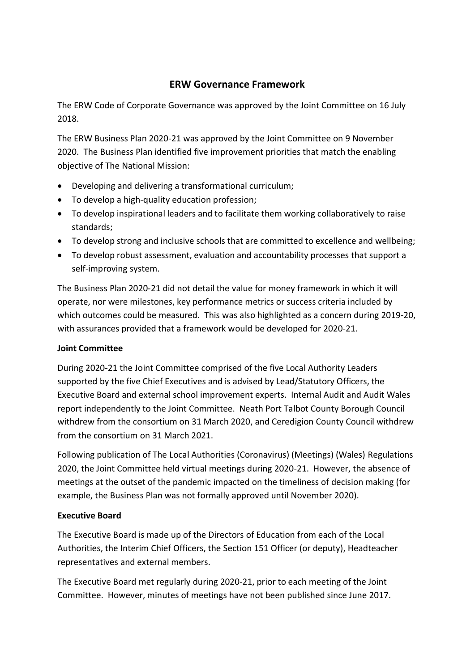## **ERW Governance Framework**

The ERW Code of Corporate Governance was approved by the Joint Committee on 16 July 2018.

The ERW Business Plan 2020-21 was approved by the Joint Committee on 9 November 2020. The Business Plan identified five improvement priorities that match the enabling objective of The National Mission:

- Developing and delivering a transformational curriculum;
- To develop a high-quality education profession;
- To develop inspirational leaders and to facilitate them working collaboratively to raise standards;
- To develop strong and inclusive schools that are committed to excellence and wellbeing;
- To develop robust assessment, evaluation and accountability processes that support a self-improving system.

The Business Plan 2020-21 did not detail the value for money framework in which it will operate, nor were milestones, key performance metrics or success criteria included by which outcomes could be measured. This was also highlighted as a concern during 2019-20, with assurances provided that a framework would be developed for 2020-21.

## **Joint Committee**

During 2020-21 the Joint Committee comprised of the five Local Authority Leaders supported by the five Chief Executives and is advised by Lead/Statutory Officers, the Executive Board and external school improvement experts. Internal Audit and Audit Wales report independently to the Joint Committee. Neath Port Talbot County Borough Council withdrew from the consortium on 31 March 2020, and Ceredigion County Council withdrew from the consortium on 31 March 2021.

Following publication of The Local Authorities (Coronavirus) (Meetings) (Wales) Regulations 2020, the Joint Committee held virtual meetings during 2020-21. However, the absence of meetings at the outset of the pandemic impacted on the timeliness of decision making (for example, the Business Plan was not formally approved until November 2020).

## **Executive Board**

The Executive Board is made up of the Directors of Education from each of the Local Authorities, the Interim Chief Officers, the Section 151 Officer (or deputy), Headteacher representatives and external members.

The Executive Board met regularly during 2020-21, prior to each meeting of the Joint Committee. However, minutes of meetings have not been published since June 2017.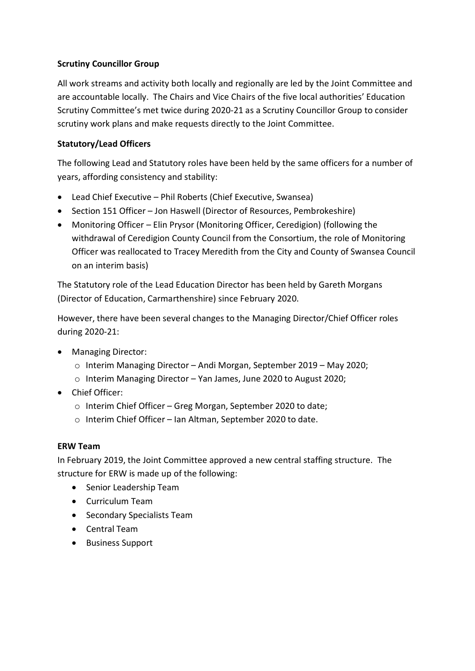#### **Scrutiny Councillor Group**

All work streams and activity both locally and regionally are led by the Joint Committee and are accountable locally. The Chairs and Vice Chairs of the five local authorities' Education Scrutiny Committee's met twice during 2020-21 as a Scrutiny Councillor Group to consider scrutiny work plans and make requests directly to the Joint Committee.

#### **Statutory/Lead Officers**

The following Lead and Statutory roles have been held by the same officers for a number of years, affording consistency and stability:

- Lead Chief Executive Phil Roberts (Chief Executive, Swansea)
- Section 151 Officer Jon Haswell (Director of Resources, Pembrokeshire)
- Monitoring Officer Elin Prysor (Monitoring Officer, Ceredigion) (following the withdrawal of Ceredigion County Council from the Consortium, the role of Monitoring Officer was reallocated to Tracey Meredith from the City and County of Swansea Council on an interim basis)

The Statutory role of the Lead Education Director has been held by Gareth Morgans (Director of Education, Carmarthenshire) since February 2020.

However, there have been several changes to the Managing Director/Chief Officer roles during 2020-21:

- Managing Director:
	- o Interim Managing Director Andi Morgan, September 2019 May 2020;
	- o Interim Managing Director Yan James, June 2020 to August 2020;
- Chief Officer:
	- o Interim Chief Officer Greg Morgan, September 2020 to date;
	- o Interim Chief Officer Ian Altman, September 2020 to date.

#### **ERW Team**

In February 2019, the Joint Committee approved a new central staffing structure. The structure for ERW is made up of the following:

- Senior Leadership Team
- Curriculum Team
- Secondary Specialists Team
- Central Team
- Business Support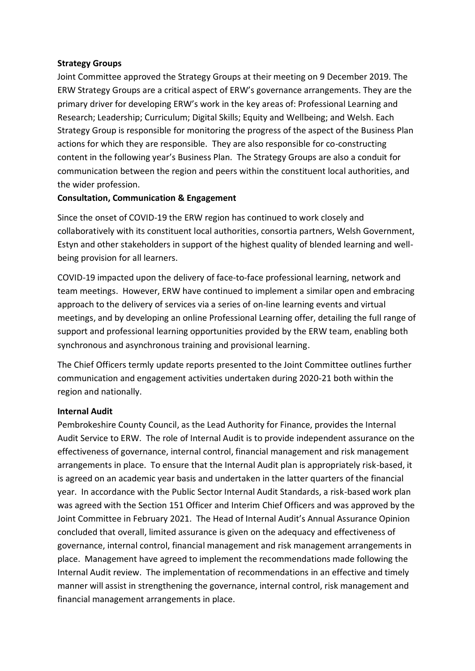#### **Strategy Groups**

Joint Committee approved the Strategy Groups at their meeting on 9 December 2019. The ERW Strategy Groups are a critical aspect of ERW's governance arrangements. They are the primary driver for developing ERW's work in the key areas of: Professional Learning and Research; Leadership; Curriculum; Digital Skills; Equity and Wellbeing; and Welsh. Each Strategy Group is responsible for monitoring the progress of the aspect of the Business Plan actions for which they are responsible. They are also responsible for co-constructing content in the following year's Business Plan. The Strategy Groups are also a conduit for communication between the region and peers within the constituent local authorities, and the wider profession.

#### **Consultation, Communication & Engagement**

Since the onset of COVID-19 the ERW region has continued to work closely and collaboratively with its constituent local authorities, consortia partners, Welsh Government, Estyn and other stakeholders in support of the highest quality of blended learning and wellbeing provision for all learners.

COVID-19 impacted upon the delivery of face-to-face professional learning, network and team meetings. However, ERW have continued to implement a similar open and embracing approach to the delivery of services via a series of on-line learning events and virtual meetings, and by developing an online Professional Learning offer, detailing the full range of support and professional learning opportunities provided by the ERW team, enabling both synchronous and asynchronous training and provisional learning.

The Chief Officers termly update reports presented to the Joint Committee outlines further communication and engagement activities undertaken during 2020-21 both within the region and nationally.

#### **Internal Audit**

Pembrokeshire County Council, as the Lead Authority for Finance, provides the Internal Audit Service to ERW. The role of Internal Audit is to provide independent assurance on the effectiveness of governance, internal control, financial management and risk management arrangements in place. To ensure that the Internal Audit plan is appropriately risk-based, it is agreed on an academic year basis and undertaken in the latter quarters of the financial year. In accordance with the Public Sector Internal Audit Standards, a risk-based work plan was agreed with the Section 151 Officer and Interim Chief Officers and was approved by the Joint Committee in February 2021. The Head of Internal Audit's Annual Assurance Opinion concluded that overall, limited assurance is given on the adequacy and effectiveness of governance, internal control, financial management and risk management arrangements in place. Management have agreed to implement the recommendations made following the Internal Audit review. The implementation of recommendations in an effective and timely manner will assist in strengthening the governance, internal control, risk management and financial management arrangements in place.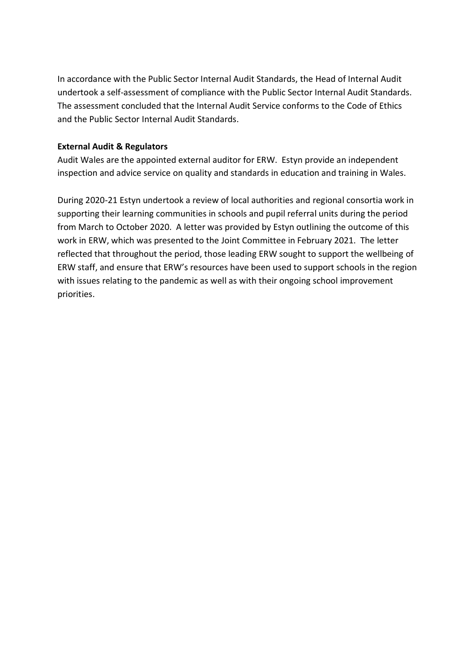In accordance with the Public Sector Internal Audit Standards, the Head of Internal Audit undertook a self-assessment of compliance with the Public Sector Internal Audit Standards. The assessment concluded that the Internal Audit Service conforms to the Code of Ethics and the Public Sector Internal Audit Standards.

#### **External Audit & Regulators**

Audit Wales are the appointed external auditor for ERW. Estyn provide an independent inspection and advice service on quality and standards in education and training in Wales.

During 2020-21 Estyn undertook a review of local authorities and regional consortia work in supporting their learning communities in schools and pupil referral units during the period from March to October 2020. A letter was provided by Estyn outlining the outcome of this work in ERW, which was presented to the Joint Committee in February 2021. The letter reflected that throughout the period, those leading ERW sought to support the wellbeing of ERW staff, and ensure that ERW's resources have been used to support schools in the region with issues relating to the pandemic as well as with their ongoing school improvement priorities.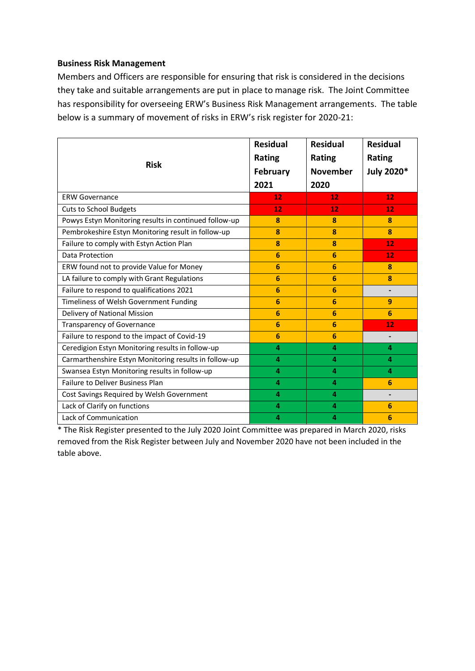#### **Business Risk Management**

Members and Officers are responsible for ensuring that risk is considered in the decisions they take and suitable arrangements are put in place to manage risk. The Joint Committee has responsibility for overseeing ERW's Business Risk Management arrangements. The table below is a summary of movement of risks in ERW's risk register for 2020-21:

| <b>Risk</b>                                           | <b>Residual</b><br><b>Rating</b><br><b>February</b> | <b>Residual</b><br><b>Rating</b><br><b>November</b> | <b>Residual</b><br><b>Rating</b><br>July 2020* |
|-------------------------------------------------------|-----------------------------------------------------|-----------------------------------------------------|------------------------------------------------|
|                                                       | 2021                                                | 2020                                                |                                                |
| <b>ERW Governance</b>                                 | 12                                                  | 12                                                  | 12                                             |
| <b>Cuts to School Budgets</b>                         | 12                                                  | 12                                                  | 12                                             |
| Powys Estyn Monitoring results in continued follow-up | 8                                                   | 8                                                   | 8                                              |
| Pembrokeshire Estyn Monitoring result in follow-up    | 8                                                   | 8                                                   | 8                                              |
| Failure to comply with Estyn Action Plan              | 8                                                   | 8                                                   | 12                                             |
| Data Protection                                       | 6                                                   | 6                                                   | 12                                             |
| ERW found not to provide Value for Money              | 6                                                   | 6                                                   | 8                                              |
| LA failure to comply with Grant Regulations           | 6                                                   | 6                                                   | 8                                              |
| Failure to respond to qualifications 2021             | 6                                                   | 6                                                   | $\blacksquare$                                 |
| Timeliness of Welsh Government Funding                | 6                                                   | 6                                                   | 9                                              |
| Delivery of National Mission                          | 6                                                   | 6                                                   | 6                                              |
| Transparency of Governance                            | 6                                                   | 6                                                   | 12                                             |
| Failure to respond to the impact of Covid-19          | 6                                                   | 6                                                   |                                                |
| Ceredigion Estyn Monitoring results in follow-up      | 4                                                   | 4                                                   | 4                                              |
| Carmarthenshire Estyn Monitoring results in follow-up | 4                                                   | 4                                                   | 4                                              |
| Swansea Estyn Monitoring results in follow-up         | 4                                                   | 4                                                   | 4                                              |
| <b>Failure to Deliver Business Plan</b>               | 4                                                   | 4                                                   | 6                                              |
| Cost Savings Required by Welsh Government             | 4                                                   | 4                                                   |                                                |
| Lack of Clarify on functions                          | 4                                                   | 4                                                   | 6                                              |
| Lack of Communication                                 | 4                                                   | 4                                                   | 6                                              |

\* The Risk Register presented to the July 2020 Joint Committee was prepared in March 2020, risks removed from the Risk Register between July and November 2020 have not been included in the table above.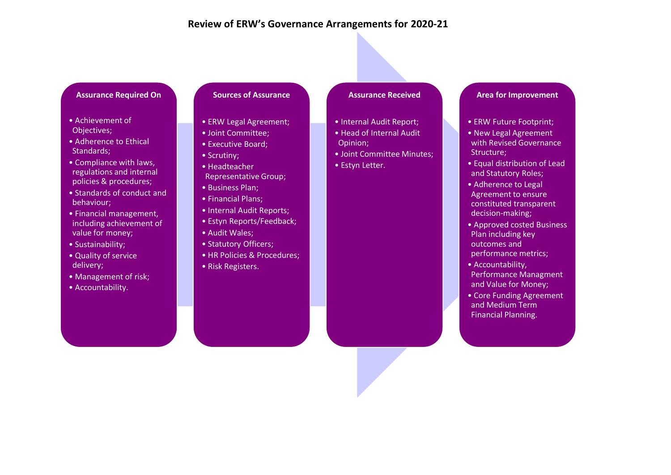#### **Review of ERW's Governance Arrangements for 2020-21**

#### **Assurance Required On**

- Achievement of Objectives;
- Adherence to Ethical Standards;
- Compliance with laws, regulations and internal policies & procedures;
- Standards of conduct and behaviour;
- Financial management, including achievement of value for money;
- Sustainability;
- Quality of service delivery;
- Management of risk;
- Accountability.

#### **Sources of Assurance**

- ERW Legal Agreement;
- Joint Committee;
- Executive Board;
- Scrutiny;
- Headteacher
- Representative Group;
- Business Plan;
- Financial Plans;
- Internal Audit Reports;
- Estyn Reports/Feedback;
- Audit Wales;
- Statutory Officers;
- HR Policies & Procedures;
- Risk Registers.

#### **Assurance Received**

- Internal Audit Report;
- Head of Internal Audit Opinion;
- Joint Committee Minutes;
- Estyn Letter.

#### **Area for Improvement**

- ERW Future Footprint;
- New Legal Agreement with Revised Governance Structure:
- Equal distribution of Lead and Statutory Roles;
- Adherence to Legal Agreement to ensure constituted transparent decision-making;
- Approved costed Business Plan including key outcomes and performance metrics;
- Accountability, Performance Managment and Value for Money;
- Core Funding Agreement and Medium Term Financial Planning.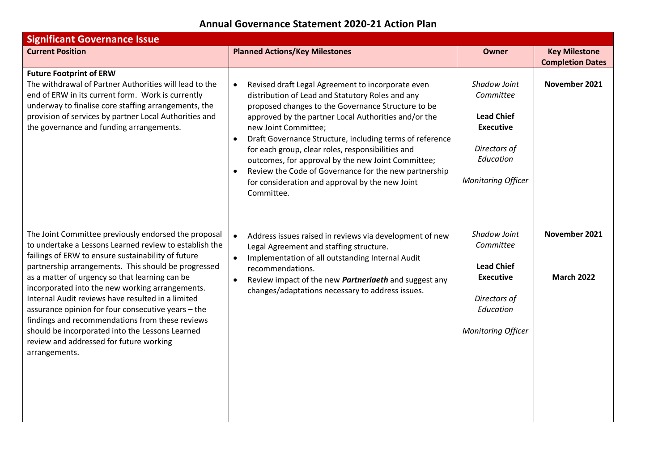# **Annual Governance Statement 2020-21 Action Plan**

| <b>Significant Governance Issue</b>                                                                                                                                                                                                                                                                                                                                                                                                                                                                                                                                                                           |                                                                                                                                                                                                                                                                                                                                                                                                                                                                                                                                                                                     |                                                                                                                              |                                                 |  |  |  |
|---------------------------------------------------------------------------------------------------------------------------------------------------------------------------------------------------------------------------------------------------------------------------------------------------------------------------------------------------------------------------------------------------------------------------------------------------------------------------------------------------------------------------------------------------------------------------------------------------------------|-------------------------------------------------------------------------------------------------------------------------------------------------------------------------------------------------------------------------------------------------------------------------------------------------------------------------------------------------------------------------------------------------------------------------------------------------------------------------------------------------------------------------------------------------------------------------------------|------------------------------------------------------------------------------------------------------------------------------|-------------------------------------------------|--|--|--|
| <b>Current Position</b>                                                                                                                                                                                                                                                                                                                                                                                                                                                                                                                                                                                       | <b>Planned Actions/Key Milestones</b>                                                                                                                                                                                                                                                                                                                                                                                                                                                                                                                                               | <b>Owner</b>                                                                                                                 | <b>Key Milestone</b><br><b>Completion Dates</b> |  |  |  |
| <b>Future Footprint of ERW</b><br>The withdrawal of Partner Authorities will lead to the<br>end of ERW in its current form. Work is currently<br>underway to finalise core staffing arrangements, the<br>provision of services by partner Local Authorities and<br>the governance and funding arrangements.                                                                                                                                                                                                                                                                                                   | Revised draft Legal Agreement to incorporate even<br>$\bullet$<br>distribution of Lead and Statutory Roles and any<br>proposed changes to the Governance Structure to be<br>approved by the partner Local Authorities and/or the<br>new Joint Committee;<br>Draft Governance Structure, including terms of reference<br>$\bullet$<br>for each group, clear roles, responsibilities and<br>outcomes, for approval by the new Joint Committee;<br>Review the Code of Governance for the new partnership<br>$\bullet$<br>for consideration and approval by the new Joint<br>Committee. | Shadow Joint<br>Committee<br><b>Lead Chief</b><br><b>Executive</b><br>Directors of<br>Education<br><b>Monitoring Officer</b> | November 2021                                   |  |  |  |
| The Joint Committee previously endorsed the proposal<br>to undertake a Lessons Learned review to establish the<br>failings of ERW to ensure sustainability of future<br>partnership arrangements. This should be progressed<br>as a matter of urgency so that learning can be<br>incorporated into the new working arrangements.<br>Internal Audit reviews have resulted in a limited<br>assurance opinion for four consecutive years - the<br>findings and recommendations from these reviews<br>should be incorporated into the Lessons Learned<br>review and addressed for future working<br>arrangements. | Address issues raised in reviews via development of new<br>Legal Agreement and staffing structure.<br>Implementation of all outstanding Internal Audit<br>$\bullet$<br>recommendations.<br>Review impact of the new <i>Partneriaeth</i> and suggest any<br>$\bullet$<br>changes/adaptations necessary to address issues.                                                                                                                                                                                                                                                            | Shadow Joint<br>Committee<br><b>Lead Chief</b><br><b>Executive</b><br>Directors of<br>Education<br><b>Monitoring Officer</b> | November 2021<br><b>March 2022</b>              |  |  |  |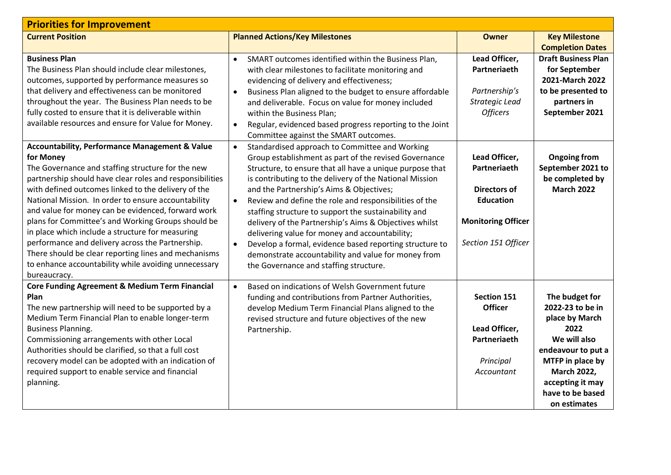| <b>Priorities for Improvement</b>                                                                                                                                                                                                                                                                                                                                                                                                                                                                                                                                                                                                                         |                                                                                                                                                                                                                                                                                                                                                                                                                                                                                                                                                                                                                                                                                                             |                                                                                                                              |                                                                                                                                                                                                      |  |  |
|-----------------------------------------------------------------------------------------------------------------------------------------------------------------------------------------------------------------------------------------------------------------------------------------------------------------------------------------------------------------------------------------------------------------------------------------------------------------------------------------------------------------------------------------------------------------------------------------------------------------------------------------------------------|-------------------------------------------------------------------------------------------------------------------------------------------------------------------------------------------------------------------------------------------------------------------------------------------------------------------------------------------------------------------------------------------------------------------------------------------------------------------------------------------------------------------------------------------------------------------------------------------------------------------------------------------------------------------------------------------------------------|------------------------------------------------------------------------------------------------------------------------------|------------------------------------------------------------------------------------------------------------------------------------------------------------------------------------------------------|--|--|
| <b>Current Position</b>                                                                                                                                                                                                                                                                                                                                                                                                                                                                                                                                                                                                                                   | <b>Planned Actions/Key Milestones</b>                                                                                                                                                                                                                                                                                                                                                                                                                                                                                                                                                                                                                                                                       | <b>Owner</b>                                                                                                                 | <b>Key Milestone</b>                                                                                                                                                                                 |  |  |
| <b>Business Plan</b><br>The Business Plan should include clear milestones,<br>outcomes, supported by performance measures so<br>that delivery and effectiveness can be monitored<br>throughout the year. The Business Plan needs to be                                                                                                                                                                                                                                                                                                                                                                                                                    | SMART outcomes identified within the Business Plan,<br>$\bullet$<br>with clear milestones to facilitate monitoring and<br>evidencing of delivery and effectiveness;<br>Business Plan aligned to the budget to ensure affordable<br>$\bullet$<br>and deliverable. Focus on value for money included                                                                                                                                                                                                                                                                                                                                                                                                          | Lead Officer,<br>Partneriaeth<br>Partnership's<br>Strategic Lead                                                             | <b>Completion Dates</b><br><b>Draft Business Plan</b><br>for September<br>2021-March 2022<br>to be presented to<br>partners in                                                                       |  |  |
| fully costed to ensure that it is deliverable within<br>available resources and ensure for Value for Money.                                                                                                                                                                                                                                                                                                                                                                                                                                                                                                                                               | within the Business Plan;<br>Regular, evidenced based progress reporting to the Joint<br>$\bullet$<br>Committee against the SMART outcomes.                                                                                                                                                                                                                                                                                                                                                                                                                                                                                                                                                                 | <b>Officers</b>                                                                                                              | September 2021                                                                                                                                                                                       |  |  |
| <b>Accountability, Performance Management &amp; Value</b><br>for Money<br>The Governance and staffing structure for the new<br>partnership should have clear roles and responsibilities<br>with defined outcomes linked to the delivery of the<br>National Mission. In order to ensure accountability<br>and value for money can be evidenced, forward work<br>plans for Committee's and Working Groups should be<br>in place which include a structure for measuring<br>performance and delivery across the Partnership.<br>There should be clear reporting lines and mechanisms<br>to enhance accountability while avoiding unnecessary<br>bureaucracy. | Standardised approach to Committee and Working<br>$\bullet$<br>Group establishment as part of the revised Governance<br>Structure, to ensure that all have a unique purpose that<br>is contributing to the delivery of the National Mission<br>and the Partnership's Aims & Objectives;<br>Review and define the role and responsibilities of the<br>$\bullet$<br>staffing structure to support the sustainability and<br>delivery of the Partnership's Aims & Objectives whilst<br>delivering value for money and accountability;<br>Develop a formal, evidence based reporting structure to<br>$\bullet$<br>demonstrate accountability and value for money from<br>the Governance and staffing structure. | Lead Officer,<br>Partneriaeth<br><b>Directors of</b><br><b>Education</b><br><b>Monitoring Officer</b><br>Section 151 Officer | <b>Ongoing from</b><br>September 2021 to<br>be completed by<br><b>March 2022</b>                                                                                                                     |  |  |
| Core Funding Agreement & Medium Term Financial<br>Plan<br>The new partnership will need to be supported by a<br>Medium Term Financial Plan to enable longer-term<br><b>Business Planning.</b><br>Commissioning arrangements with other Local<br>Authorities should be clarified, so that a full cost<br>recovery model can be adopted with an indication of<br>required support to enable service and financial<br>planning.                                                                                                                                                                                                                              | Based on indications of Welsh Government future<br>funding and contributions from Partner Authorities,<br>develop Medium Term Financial Plans aligned to the<br>revised structure and future objectives of the new<br>Partnership.                                                                                                                                                                                                                                                                                                                                                                                                                                                                          | <b>Section 151</b><br><b>Officer</b><br>Lead Officer,<br>Partneriaeth<br>Principal<br>Accountant                             | The budget for<br>2022-23 to be in<br>place by March<br>2022<br>We will also<br>endeavour to put a<br>MTFP in place by<br><b>March 2022,</b><br>accepting it may<br>have to be based<br>on estimates |  |  |